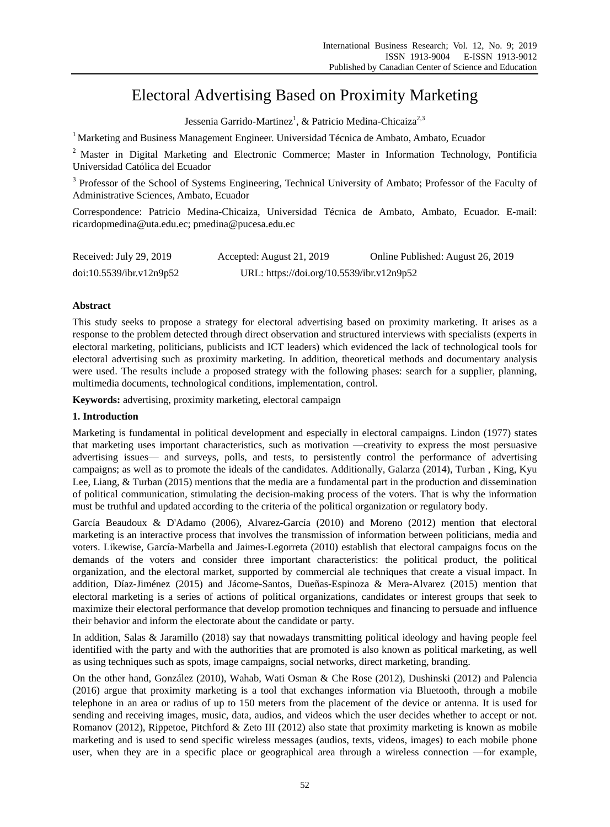# Electoral Advertising Based on Proximity Marketing

Jessenia Garrido-Martinez<sup>1</sup>, & Patricio Medina-Chicaiza<sup>2,3</sup>

<sup>1</sup> Marketing and Business Management Engineer. Universidad Técnica de Ambato, Ambato, Ecuador

<sup>2</sup> Master in Digital Marketing and Electronic Commerce; Master in Information Technology, Pontificia Universidad Católica del Ecuador

<sup>3</sup> Professor of the School of Systems Engineering, Technical University of Ambato; Professor of the Faculty of Administrative Sciences, Ambato, Ecuador

Correspondence: Patricio Medina-Chicaiza, Universidad Técnica de Ambato, Ambato, Ecuador. E-mail: ricardopmedina@uta.edu.ec; pmedina@pucesa.edu.ec

| Received: July 29, 2019  | Accepted: August 21, 2019                 | Online Published: August 26, 2019 |
|--------------------------|-------------------------------------------|-----------------------------------|
| doi:10.5539/ibr.v12n9p52 | URL: https://doi.org/10.5539/ibr.v12n9p52 |                                   |

# **Abstract**

This study seeks to propose a strategy for electoral advertising based on proximity marketing. It arises as a response to the problem detected through direct observation and structured interviews with specialists (experts in electoral marketing, politicians, publicists and ICT leaders) which evidenced the lack of technological tools for electoral advertising such as proximity marketing. In addition, theoretical methods and documentary analysis were used. The results include a proposed strategy with the following phases: search for a supplier, planning, multimedia documents, technological conditions, implementation, control.

**Keywords:** advertising, proximity marketing, electoral campaign

# **1. Introduction**

Marketing is fundamental in political development and especially in electoral campaigns. Lindon (1977) states that marketing uses important characteristics, such as motivation —creativity to express the most persuasive advertising issues— and surveys, polls, and tests, to persistently control the performance of advertising campaigns; as well as to promote the ideals of the candidates. Additionally, Galarza (2014), Turban , King, Kyu Lee, Liang, & Turban (2015) mentions that the media are a fundamental part in the production and dissemination of political communication, stimulating the decision-making process of the voters. That is why the information must be truthful and updated according to the criteria of the political organization or regulatory body.

García Beaudoux & D'Adamo (2006), Alvarez-García (2010) and Moreno (2012) mention that electoral marketing is an interactive process that involves the transmission of information between politicians, media and voters. Likewise, Garc á-Marbella and Jaimes-Legorreta (2010) establish that electoral campaigns focus on the demands of the voters and consider three important characteristics: the political product, the political organization, and the electoral market, supported by commercial ale techniques that create a visual impact. In addition, Díaz-Jiménez (2015) and Jácome-Santos, Dueñas-Espinoza & Mera-Alvarez (2015) mention that electoral marketing is a series of actions of political organizations, candidates or interest groups that seek to maximize their electoral performance that develop promotion techniques and financing to persuade and influence their behavior and inform the electorate about the candidate or party.

In addition, Salas & Jaramillo (2018) say that nowadays transmitting political ideology and having people feel identified with the party and with the authorities that are promoted is also known as political marketing, as well as using techniques such as spots, image campaigns, social networks, direct marketing, branding.

On the other hand, González (2010), Wahab, Wati Osman & Che Rose (2012), Dushinski (2012) and Palencia (2016) argue that proximity marketing is a tool that exchanges information via Bluetooth, through a mobile telephone in an area or radius of up to 150 meters from the placement of the device or antenna. It is used for sending and receiving images, music, data, audios, and videos which the user decides whether to accept or not. Romanov (2012), Rippetoe, Pitchford & Zeto III (2012) also state that proximity marketing is known as mobile marketing and is used to send specific wireless messages (audios, texts, videos, images) to each mobile phone user, when they are in a specific place or geographical area through a wireless connection —for example,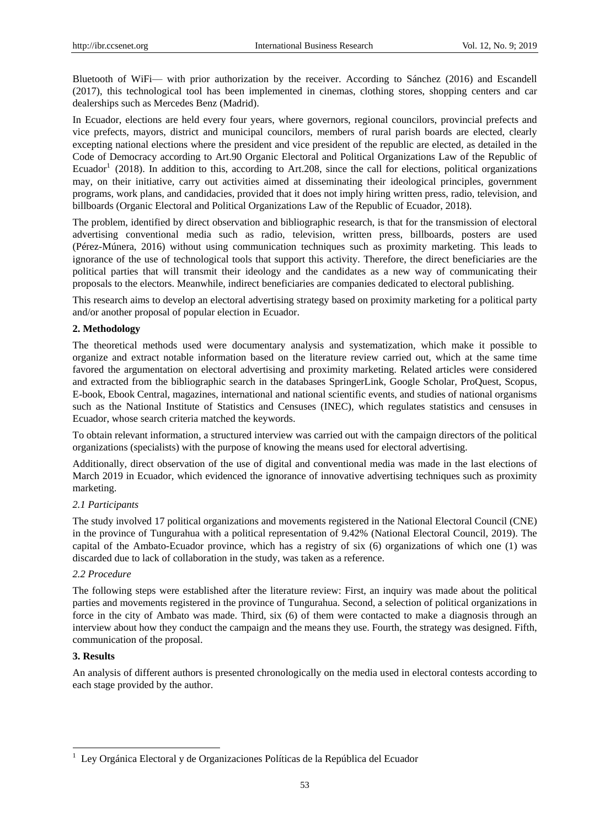Bluetooth of WiFi— with prior authorization by the receiver. According to Sánchez (2016) and Escandell (2017), this technological tool has been implemented in cinemas, clothing stores, shopping centers and car dealerships such as Mercedes Benz (Madrid).

In Ecuador, elections are held every four years, where governors, regional councilors, provincial prefects and vice prefects, mayors, district and municipal councilors, members of rural parish boards are elected, clearly excepting national elections where the president and vice president of the republic are elected*,* as detailed in the Code of Democracy according to Art.90 Organic Electoral and Political Organizations Law of the Republic of Ecuador<sup>1</sup> (2018). In addition to this, according to Art.208, since the call for elections, political organizations may, on their initiative, carry out activities aimed at disseminating their ideological principles, government programs, work plans, and candidacies, provided that it does not imply hiring written press, radio, television, and billboards (Organic Electoral and Political Organizations Law of the Republic of Ecuador, 2018).

The problem, identified by direct observation and bibliographic research, is that for the transmission of electoral advertising conventional media such as radio, television, written press, billboards, posters are used (Pérez-Múnera, 2016) without using communication techniques such as proximity marketing. This leads to ignorance of the use of technological tools that support this activity. Therefore, the direct beneficiaries are the political parties that will transmit their ideology and the candidates as a new way of communicating their proposals to the electors. Meanwhile, indirect beneficiaries are companies dedicated to electoral publishing.

This research aims to develop an electoral advertising strategy based on proximity marketing for a political party and/or another proposal of popular election in Ecuador.

## **2. Methodology**

The theoretical methods used were documentary analysis and systematization, which make it possible to organize and extract notable information based on the literature review carried out, which at the same time favored the argumentation on electoral advertising and proximity marketing. Related articles were considered and extracted from the bibliographic search in the databases SpringerLink, Google Scholar, ProQuest, Scopus, E-book, Ebook Central, magazines, international and national scientific events, and studies of national organisms such as the National Institute of Statistics and Censuses (INEC), which regulates statistics and censuses in Ecuador, whose search criteria matched the keywords.

To obtain relevant information, a structured interview was carried out with the campaign directors of the political organizations (specialists) with the purpose of knowing the means used for electoral advertising.

Additionally, direct observation of the use of digital and conventional media was made in the last elections of March 2019 in Ecuador, which evidenced the ignorance of innovative advertising techniques such as proximity marketing.

## *2.1 Participants*

The study involved 17 political organizations and movements registered in the National Electoral Council (CNE) in the province of Tungurahua with a political representation of 9.42% (National Electoral Council, 2019). The capital of the Ambato-Ecuador province, which has a registry of six (6) organizations of which one (1) was discarded due to lack of collaboration in the study, was taken as a reference.

## *2.2 Procedure*

The following steps were established after the literature review: First, an inquiry was made about the political parties and movements registered in the province of Tungurahua. Second, a selection of political organizations in force in the city of Ambato was made. Third, six (6) of them were contacted to make a diagnosis through an interview about how they conduct the campaign and the means they use. Fourth, the strategy was designed. Fifth, communication of the proposal.

## **3. Results**

-

An analysis of different authors is presented chronologically on the media used in electoral contests according to each stage provided by the author.

<sup>&</sup>lt;sup>1</sup> Ley Orgánica Electoral y de Organizaciones Políticas de la República del Ecuador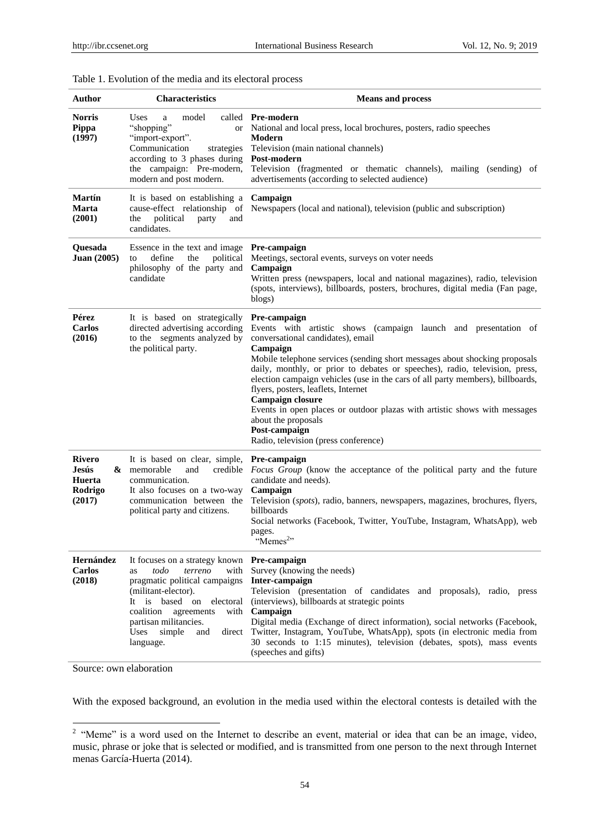| Author                                          | <b>Characteristics</b>                                                                                                                                                                                                                                                                 | <b>Means and process</b>                                                                                                                                                                                                                                                                                                                                                                                                                                                                                                                                                                                       |
|-------------------------------------------------|----------------------------------------------------------------------------------------------------------------------------------------------------------------------------------------------------------------------------------------------------------------------------------------|----------------------------------------------------------------------------------------------------------------------------------------------------------------------------------------------------------------------------------------------------------------------------------------------------------------------------------------------------------------------------------------------------------------------------------------------------------------------------------------------------------------------------------------------------------------------------------------------------------------|
| <b>Norris</b><br><b>Pippa</b><br>(1997)         | Uses<br>model<br>a<br>"shopping"<br><b>or</b><br>"import-export".<br>Communication<br>strategies<br>according to 3 phases during<br>the campaign: Pre-modern,<br>modern and post modern.                                                                                               | called Pre-modern<br>National and local press, local brochures, posters, radio speeches<br>Modern<br>Television (main national channels)<br>Post-modern<br>Television (fragmented or thematic channels), mailing (sending) of<br>advertisements (according to selected audience)                                                                                                                                                                                                                                                                                                                               |
| <b>Mart ín</b><br>Marta<br>(2001)               | It is based on establishing a<br>cause-effect relationship of<br>political<br>the<br>party<br>and<br>candidates.                                                                                                                                                                       | Campaign<br>Newspapers (local and national), television (public and subscription)                                                                                                                                                                                                                                                                                                                                                                                                                                                                                                                              |
| Quesada<br><b>Juan (2005)</b>                   | Essence in the text and image Pre-campaign<br>define<br>the<br>political<br>to<br>philosophy of the party and<br>candidate                                                                                                                                                             | Meetings, sectoral events, surveys on voter needs<br>Campaign<br>Written press (newspapers, local and national magazines), radio, television<br>(spots, interviews), billboards, posters, brochures, digital media (Fan page,<br>blogs)                                                                                                                                                                                                                                                                                                                                                                        |
| Pérez<br><b>Carlos</b><br>(2016)                | It is based on strategically<br>directed advertising according<br>to the segments analyzed by<br>the political party.                                                                                                                                                                  | Pre-campaign<br>Events with artistic shows (campaign launch and presentation of<br>conversational candidates), email<br>Campaign<br>Mobile telephone services (sending short messages about shocking proposals<br>daily, monthly, or prior to debates or speeches), radio, television, press,<br>election campaign vehicles (use in the cars of all party members), billboards,<br>flyers, posters, leaflets, Internet<br><b>Campaign closure</b><br>Events in open places or outdoor plazas with artistic shows with messages<br>about the proposals<br>Post-campaign<br>Radio, television (press conference) |
| Rivero<br>Jes ús<br>Huerta<br>Rodrigo<br>(2017) | It is based on clear, simple, Pre-campaign<br>$\&$ memorable<br>and<br>credible<br>communication.<br>It also focuses on a two-way<br>communication between the<br>political party and citizens.                                                                                        | <i>Focus Group</i> (know the acceptance of the political party and the future<br>candidate and needs).<br>Campaign<br>Television (spots), radio, banners, newspapers, magazines, brochures, flyers,<br>billboards<br>Social networks (Facebook, Twitter, YouTube, Instagram, WhatsApp), web<br>pages.<br>"Memes <sup>2</sup> "                                                                                                                                                                                                                                                                                 |
| Hern ández<br><b>Carlos</b><br>(2018)           | It focuses on a strategy known Pre-campaign<br>terreno<br>todo<br>with<br>as<br>pragmatic political campaigns Inter-campaign<br>(militant-elector).<br>It is based on<br>electoral<br>coalition<br>agreements<br>partisan militancies.<br>Uses<br>simple<br>and<br>direct<br>language. | Survey (knowing the needs)<br>Television (presentation of candidates and proposals), radio, press<br>(interviews), billboards at strategic points<br>with <b>Campaign</b><br>Digital media (Exchange of direct information), social networks (Facebook,<br>Twitter, Instagram, YouTube, WhatsApp), spots (in electronic media from<br>30 seconds to 1:15 minutes), television (debates, spots), mass events<br>(speeches and gifts)                                                                                                                                                                            |

# Table 1. Evolution of the media and its electoral process

Source: own elaboration

With the exposed background, an evolution in the media used within the electoral contests is detailed with the

<sup>&</sup>lt;sup>2</sup> "Meme" is a word used on the Internet to describe an event, material or idea that can be an image, video, music, phrase or joke that is selected or modified, and is transmitted from one person to the next through Internet menas Garc á-Huerta (2014).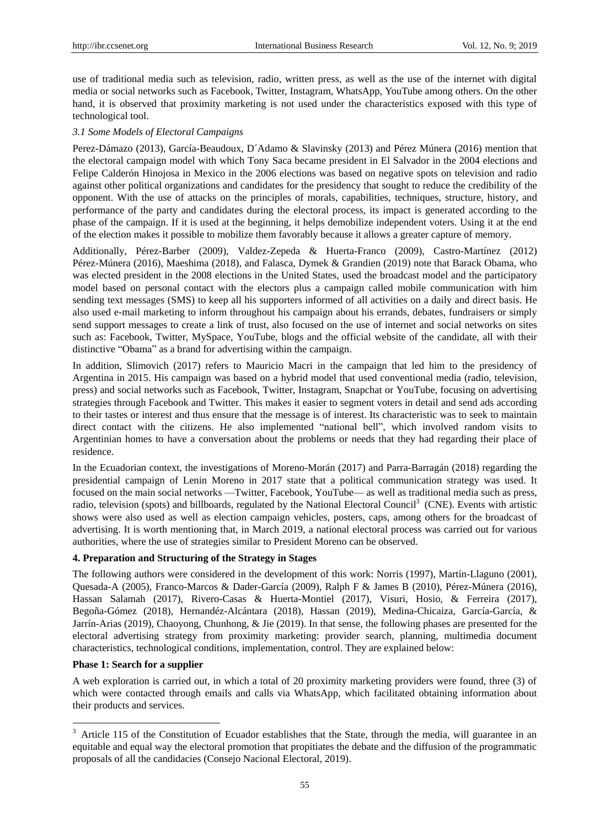use of traditional media such as television, radio, written press, as well as the use of the internet with digital media or social networks such as Facebook, Twitter, Instagram, WhatsApp, YouTube among others. On the other hand, it is observed that proximity marketing is not used under the characteristics exposed with this type of technological tool.

## *3.1 Some Models of Electoral Campaigns*

Perez-Dámazo (2013), Garc á-Beaudoux, D´Adamo & Slavinsky (2013) and Pérez Múnera (2016) mention that the electoral campaign model with which Tony Saca became president in El Salvador in the 2004 elections and Felipe Calderón Hinojosa in Mexico in the 2006 elections was based on negative spots on television and radio against other political organizations and candidates for the presidency that sought to reduce the credibility of the opponent. With the use of attacks on the principles of morals, capabilities, techniques, structure, history, and performance of the party and candidates during the electoral process, its impact is generated according to the phase of the campaign. If it is used at the beginning, it helps demobilize independent voters. Using it at the end of the election makes it possible to mobilize them favorably because it allows a greater capture of memory.

Additionally, Pérez-Barber (2009), Valdez-Zepeda & Huerta-Franco (2009), Castro-Martínez (2012) Pérez-Múnera (2016), Maeshima (2018), and Falasca, Dymek & Grandien (2019) note that Barack Obama, who was elected president in the 2008 elections in the United States, used the broadcast model and the participatory model based on personal contact with the electors plus a campaign called mobile communication with him sending text messages (SMS) to keep all his supporters informed of all activities on a daily and direct basis. He also used e-mail marketing to inform throughout his campaign about his errands, debates, fundraisers or simply send support messages to create a link of trust, also focused on the use of internet and social networks on sites such as: Facebook, Twitter, MySpace, YouTube, blogs and the official website of the candidate, all with their distinctive "Obama" as a brand for advertising within the campaign.

In addition, Slimovich (2017) refers to Mauricio Macri in the campaign that led him to the presidency of Argentina in 2015. His campaign was based on a hybrid model that used conventional media (radio, television, press) and social networks such as Facebook, Twitter, Instagram, Snapchat or YouTube, focusing on advertising strategies through Facebook and Twitter. This makes it easier to segment voters in detail and send ads according to their tastes or interest and thus ensure that the message is of interest. Its characteristic was to seek to maintain direct contact with the citizens. He also implemented "national bell", which involved random visits to Argentinian homes to have a conversation about the problems or needs that they had regarding their place of residence.

In the Ecuadorian context, the investigations of Moreno-Morán (2017) and Parra-Barragán (2018) regarding the presidential campaign of Lenin Moreno in 2017 state that a political communication strategy was used. It focused on the main social networks —Twitter, Facebook, YouTube— as well as traditional media such as press, radio, television (spots) and billboards, regulated by the National Electoral Council<sup>3</sup> (CNE). Events with artistic shows were also used as well as election campaign vehicles, posters, caps, among others for the broadcast of advertising. It is worth mentioning that, in March 2019, a national electoral process was carried out for various authorities, where the use of strategies similar to President Moreno can be observed.

#### **4. Preparation and Structuring of the Strategy in Stages**

The following authors were considered in the development of this work: Norris (1997), Mart *f*i-Llaguno (2001), Quesada-A (2005), Franco-Marcos & Dader-García (2009), Ralph F & James B (2010), Pérez-Múnera (2016), Hassan Salamah (2017), Rivero-Casas & Huerta-Montiel (2017), Visuri, Hosio, & Ferreira (2017), Begoña-Gómez (2018), Hernandéz-Alcántara (2018), Hassan (2019), Medina-Chicaiza, García-García, & Jarr *f* - Arias (2019), Chaoyong, Chunhong, & Jie (2019). In that sense, the following phases are presented for the electoral advertising strategy from proximity marketing: provider search, planning, multimedia document characteristics, technological conditions, implementation, control. They are explained below:

#### **Phase 1: Search for a supplier**

-

A web exploration is carried out, in which a total of 20 proximity marketing providers were found, three (3) of which were contacted through emails and calls via WhatsApp, which facilitated obtaining information about their products and services.

 $3$  Article 115 of the Constitution of Ecuador establishes that the State, through the media, will guarantee in an equitable and equal way the electoral promotion that propitiates the debate and the diffusion of the programmatic proposals of all the candidacies (Consejo Nacional Electoral, 2019).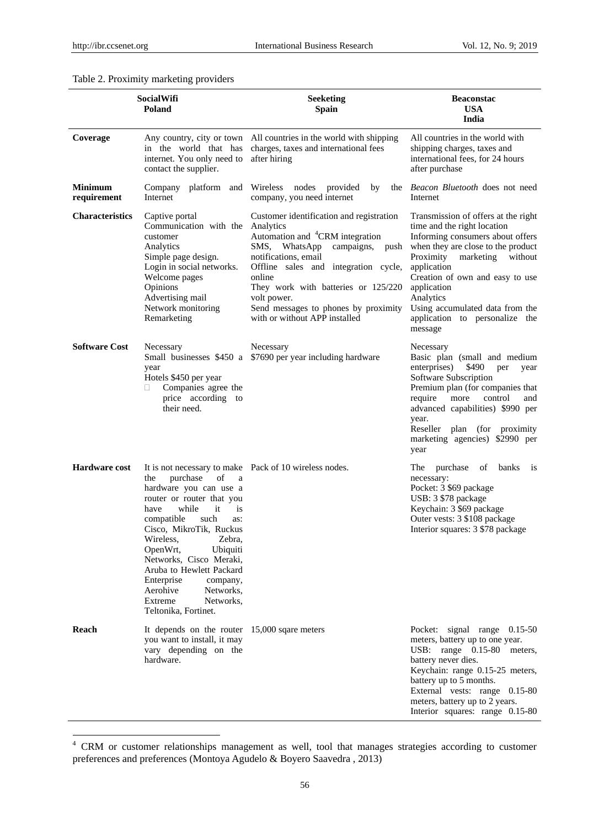-

## Table 2. Proximity marketing providers

|                        | <b>SocialWifi</b><br>Poland                                                                                                                                                                                                                                                                                                                                                                                                               | <b>Seeketing</b><br><b>Spain</b>                                                                                                                                                                                                                                                                                                        | <b>Beaconstac</b><br><b>USA</b><br>India                                                                                                                                                                                                                                                                                                        |
|------------------------|-------------------------------------------------------------------------------------------------------------------------------------------------------------------------------------------------------------------------------------------------------------------------------------------------------------------------------------------------------------------------------------------------------------------------------------------|-----------------------------------------------------------------------------------------------------------------------------------------------------------------------------------------------------------------------------------------------------------------------------------------------------------------------------------------|-------------------------------------------------------------------------------------------------------------------------------------------------------------------------------------------------------------------------------------------------------------------------------------------------------------------------------------------------|
| Coverage               | internet. You only need to<br>contact the supplier.                                                                                                                                                                                                                                                                                                                                                                                       | Any country, city or town All countries in the world with shipping<br>in the world that has charges, taxes and international fees<br>after hiring                                                                                                                                                                                       | All countries in the world with<br>shipping charges, taxes and<br>international fees, for 24 hours<br>after purchase                                                                                                                                                                                                                            |
| Minimum<br>requirement | Internet                                                                                                                                                                                                                                                                                                                                                                                                                                  | Company platform and Wireless nodes provided<br>by<br>company, you need internet                                                                                                                                                                                                                                                        | the <i>Beacon Bluetooth</i> does not need<br>Internet                                                                                                                                                                                                                                                                                           |
| <b>Characteristics</b> | Captive portal<br>Communication with the Analytics<br>customer<br>Analytics<br>Simple page design.<br>Login in social networks.<br>Welcome pages<br>Opinions<br>Advertising mail<br>Network monitoring<br>Remarketing                                                                                                                                                                                                                     | Customer identification and registration<br>Automation and <sup>4</sup> CRM integration<br>SMS, WhatsApp<br>campaigns,<br>push<br>notifications, email<br>Offline sales and integration cycle,<br>online<br>They work with batteries or 125/220<br>volt power.<br>Send messages to phones by proximity<br>with or without APP installed | Transmission of offers at the right<br>time and the right location<br>Informing consumers about offers<br>when they are close to the product<br>Proximity<br>marketing<br>without<br>application<br>Creation of own and easy to use<br>application<br>Analytics<br>Using accumulated data from the<br>application to personalize the<br>message |
| <b>Software Cost</b>   | Necessary<br>year<br>Hotels \$450 per year<br>Companies agree the<br>□<br>price according to<br>their need.                                                                                                                                                                                                                                                                                                                               | Necessary<br>Small businesses \$450 a \$7690 per year including hardware                                                                                                                                                                                                                                                                | Necessary<br>Basic plan (small and medium<br>\$490<br>enterprises)<br>per<br>year<br>Software Subscription<br>Premium plan (for companies that<br>require<br>control<br>more<br>and<br>advanced capabilities) \$990 per<br>year.<br>Reseller plan (for proximity<br>marketing agencies) \$2990 per<br>year                                      |
| <b>Hardware cost</b>   | It is not necessary to make Pack of 10 wireless nodes.<br>purchase<br>of<br>the<br>a<br>hardware you can use a<br>router or router that you<br>while<br>have<br>it<br>is<br>compatible<br>such<br>as:<br>Cisco, MikroTik, Ruckus<br>Wireless,<br>Zebra,<br>Ubiquiti<br>OpenWrt,<br>Networks, Cisco Meraki,<br>Aruba to Hewlett Packard<br>Enterprise<br>company,<br>Aerohive<br>Networks,<br>Extreme<br>Networks,<br>Teltonika, Fortinet. |                                                                                                                                                                                                                                                                                                                                         | The<br>purchase<br>of<br>banks<br>1S<br>necessary:<br>Pocket: 3 \$69 package<br>USB: 3 \$78 package<br>Keychain: 3 \$69 package<br>Outer vests: 3 \$108 package<br>Interior squares: 3 \$78 package                                                                                                                                             |
| Reach                  | It depends on the router $15,000$ sqare meters<br>you want to install, it may<br>vary depending on the<br>hardware.                                                                                                                                                                                                                                                                                                                       |                                                                                                                                                                                                                                                                                                                                         | Pocket: signal range 0.15-50<br>meters, battery up to one year.<br>USB: range 0.15-80 meters,<br>battery never dies.<br>Keychain: range 0.15-25 meters,<br>battery up to 5 months.<br>External vests: range 0.15-80<br>meters, battery up to 2 years.<br>Interior squares: range 0.15-80                                                        |

<sup>&</sup>lt;sup>4</sup> CRM or customer relationships management as well, tool that manages strategies according to customer preferences and preferences (Montoya Agudelo & Boyero Saavedra , 2013)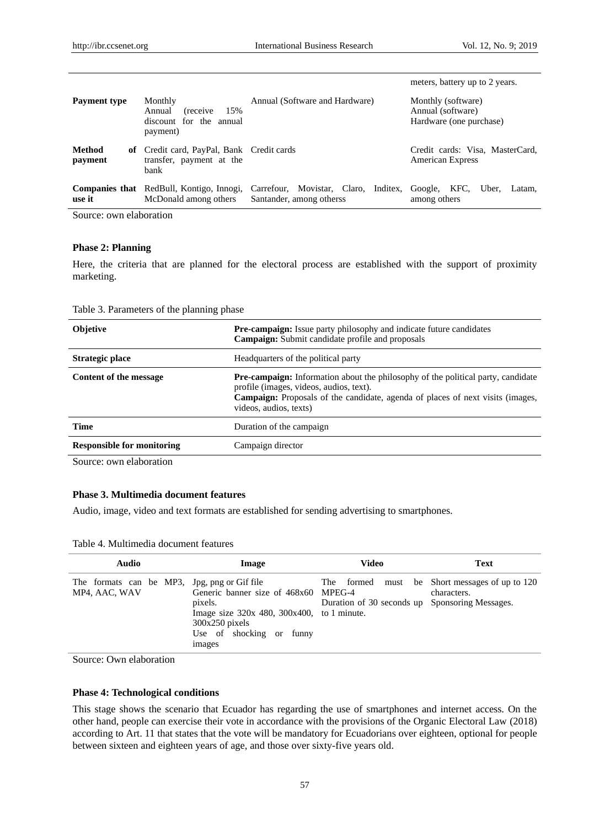|                          |                                                                                     |                                                                  | meters, battery up to 2 years.                                     |
|--------------------------|-------------------------------------------------------------------------------------|------------------------------------------------------------------|--------------------------------------------------------------------|
| <b>Payment type</b>      | Monthly<br>15%<br>Annual<br><i>(receive)</i><br>discount for the annual<br>payment) | Annual (Software and Hardware)                                   | Monthly (software)<br>Annual (software)<br>Hardware (one purchase) |
| <b>Method</b><br>payment | of Credit card, PayPal, Bank Credit cards<br>transfer, payment at the<br>bank       |                                                                  | Credit cards: Visa, MasterCard,<br><b>American Express</b>         |
| use it                   | <b>Companies that</b> RedBull, Kontigo, Innogi,<br>McDonald among others            | Carrefour, Movistar, Claro, Inditex,<br>Santander, among otherss | Google, KFC,<br>Uber.<br>Latam.<br>among others                    |

Source: own elaboration

## **Phase 2: Planning**

Here, the criteria that are planned for the electoral process are established with the support of proximity marketing.

Table 3. Parameters of the planning phase

| <b>Pre-campaign:</b> Issue party philosophy and indicate future candidates<br>Campaign: Submit candidate profile and proposals                                                                                                                        |
|-------------------------------------------------------------------------------------------------------------------------------------------------------------------------------------------------------------------------------------------------------|
| Headquarters of the political party                                                                                                                                                                                                                   |
| <b>Pre-campaign:</b> Information about the philosophy of the political party, candidate<br>profile (images, videos, audios, text).<br><b>Campaign:</b> Proposals of the candidate, agenda of places of next visits (images,<br>videos, audios, texts) |
| Duration of the campaign                                                                                                                                                                                                                              |
| Campaign director                                                                                                                                                                                                                                     |
|                                                                                                                                                                                                                                                       |

Source: own elaboration

# **Phase 3. Multimedia document features**

Audio, image, video and text formats are established for sending advertising to smartphones*.*

| Table 4. Multimedia document features |  |
|---------------------------------------|--|
|---------------------------------------|--|

| Audio                                                         | Image                                                                                                                                                        | Video                                          | <b>Text</b>                                                   |
|---------------------------------------------------------------|--------------------------------------------------------------------------------------------------------------------------------------------------------------|------------------------------------------------|---------------------------------------------------------------|
| The formats can be MP3, Jpg, png or Gif file<br>MP4, AAC, WAV | Generic banner size of 468x60 MPEG-4<br>pixels.<br>Image size $320x$ 480, $300x400$ , to 1 minute.<br>$300x250$ pixels<br>Use of shocking or funny<br>images | Duration of 30 seconds up Sponsoring Messages. | The formed must be Short messages of up to 120<br>characters. |

Source: Own elaboration

## **Phase 4: Technological conditions**

This stage shows the scenario that Ecuador has regarding the use of smartphones and internet access. On the other hand, people can exercise their vote in accordance with the provisions of the Organic Electoral Law (2018) according to Art. 11 that states that the vote will be mandatory for Ecuadorians over eighteen, optional for people between sixteen and eighteen years of age, and those over sixty-five years old.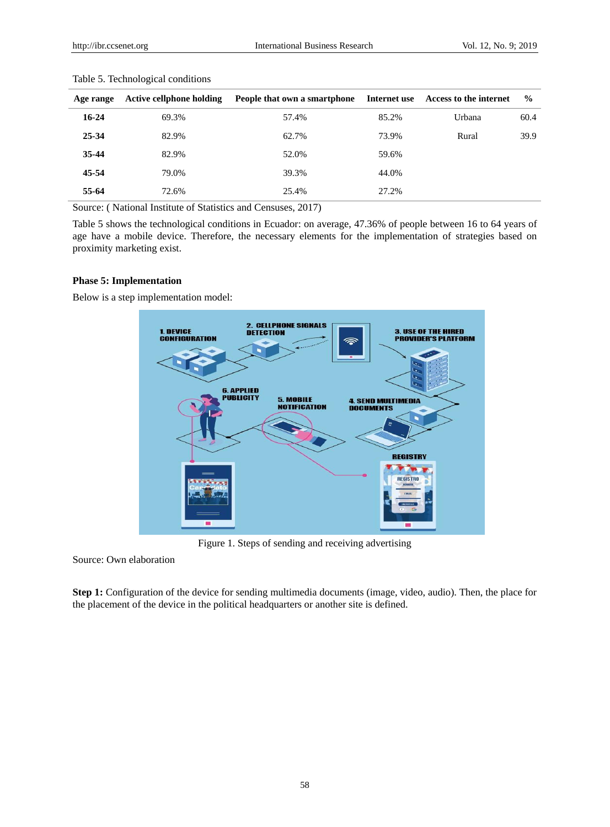| Age range | <b>Active cellphone holding</b> | People that own a smartphone | Internet use | Access to the internet | $\frac{0}{0}$ |
|-----------|---------------------------------|------------------------------|--------------|------------------------|---------------|
| $16-24$   | 69.3%                           | 57.4%                        | 85.2%        | Urbana                 | 60.4          |
| 25-34     | 82.9%                           | 62.7%                        | 73.9%        | Rural                  | 39.9          |
| 35-44     | 82.9%                           | 52.0%                        | 59.6%        |                        |               |
| 45-54     | 79.0%                           | 39.3%                        | 44.0%        |                        |               |
| 55-64     | 72.6%                           | 25.4%                        | 27.2%        |                        |               |

Table 5. Technological conditions

Source: ( National Institute of Statistics and Censuses, 2017)

Table 5 shows the technological conditions in Ecuador: on average, 47.36% of people between 16 to 64 years of age have a mobile device. Therefore, the necessary elements for the implementation of strategies based on proximity marketing exist.

## **Phase 5: Implementation**

Below is a step implementation model:



Figure 1. Steps of sending and receiving advertising

Source: Own elaboration

**Step 1:** Configuration of the device for sending multimedia documents (image, video, audio). Then, the place for the placement of the device in the political headquarters or another site is defined.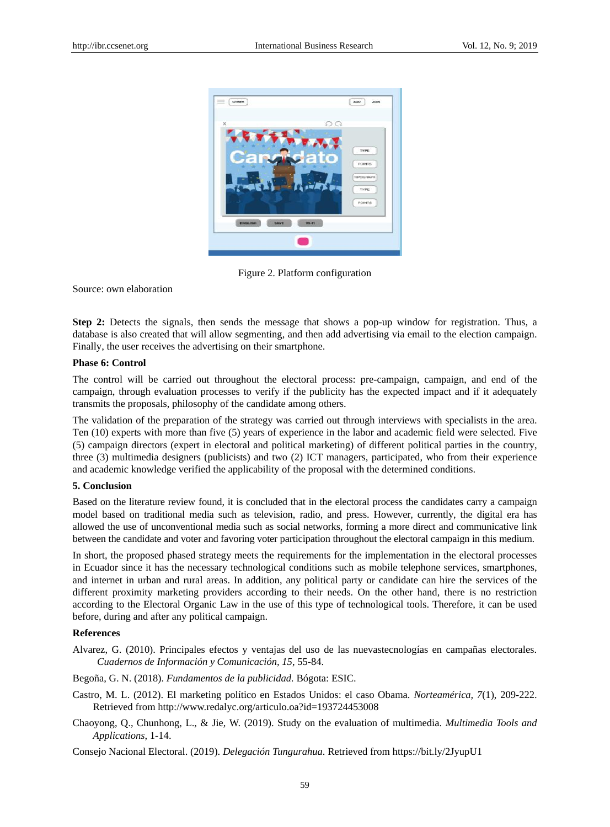

Figure 2. Platform configuration

Source: own elaboration

**Step 2:** Detects the signals, then sends the message that shows a pop-up window for registration. Thus, a database is also created that will allow segmenting, and then add advertising via email to the election campaign. Finally, the user receives the advertising on their smartphone.

## **Phase 6: Control**

The control will be carried out throughout the electoral process: pre-campaign, campaign, and end of the campaign, through evaluation processes to verify if the publicity has the expected impact and if it adequately transmits the proposals, philosophy of the candidate among others.

The validation of the preparation of the strategy was carried out through interviews with specialists in the area. Ten (10) experts with more than five (5) years of experience in the labor and academic field were selected. Five (5) campaign directors (expert in electoral and political marketing) of different political parties in the country, three (3) multimedia designers (publicists) and two (2) ICT managers, participated, who from their experience and academic knowledge verified the applicability of the proposal with the determined conditions.

# **5. Conclusion**

Based on the literature review found, it is concluded that in the electoral process the candidates carry a campaign model based on traditional media such as television, radio, and press. However, currently, the digital era has allowed the use of unconventional media such as social networks, forming a more direct and communicative link between the candidate and voter and favoring voter participation throughout the electoral campaign in this medium.

In short, the proposed phased strategy meets the requirements for the implementation in the electoral processes in Ecuador since it has the necessary technological conditions such as mobile telephone services, smartphones, and internet in urban and rural areas. In addition, any political party or candidate can hire the services of the different proximity marketing providers according to their needs. On the other hand, there is no restriction according to the Electoral Organic Law in the use of this type of technological tools. Therefore, it can be used before, during and after any political campaign.

#### **References**

- Alvarez, G. (2010). Principales efectos y ventajas del uso de las nuevastecnologías en campañas electorales. *Cuadernos de Información y Comunicación, 15*, 55-84.
- Begoña, G. N. (2018). *Fundamentos de la publicidad.* Bógota: ESIC.
- Castro, M. L. (2012). El marketing político en Estados Unidos: el caso Obama. *Norteamérica, 7*(1), 209-222. Retrieved from http://www.redalyc.org/articulo.oa?id=193724453008
- Chaoyong, Q., Chunhong, L., & Jie, W. (2019). Study on the evaluation of multimedia. *Multimedia Tools and Applications*, 1-14.

Consejo Nacional Electoral. (2019). *Delegación Tungurahua*. Retrieved from https://bit.ly/2JyupU1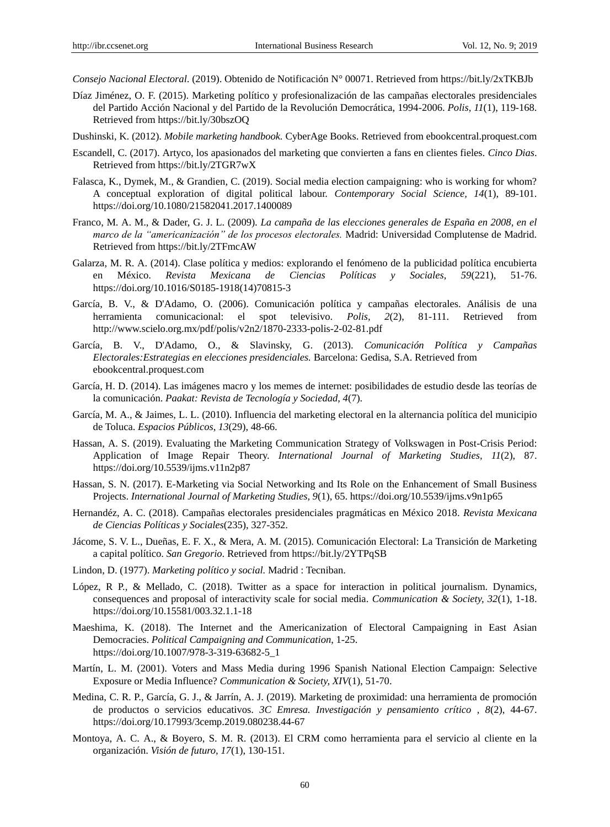*Consejo Nacional Electoral*. (2019). Obtenido de Notificación N° 00071. Retrieved from https://bit.ly/2xTKBJb

- Díaz Jiménez, O. F. (2015). Marketing político y profesionalización de las campañas electorales presidenciales del Partido Acción Nacional y del Partido de la Revolución Democrática, 1994-2006. *Polis, 11*(1), 119-168. Retrieved from https://bit.ly/30bszOQ
- Dushinski, K. (2012). *Mobile marketing handbook.* CyberAge Books. Retrieved from ebookcentral.proquest.com
- Escandell, C. (2017). Artyco, los apasionados del marketing que convierten a fans en clientes fieles. *Cinco Dias*. Retrieved from https://bit.ly/2TGR7wX
- Falasca, K., Dymek, M., & Grandien, C. (2019). Social media election campaigning: who is working for whom? A conceptual exploration of digital political labour. *Contemporary Social Science, 14*(1), 89-101. https://doi.org/10.1080/21582041.2017.1400089
- Franco, M. A. M., & Dader, G. J. L. (2009). *La campaña de las elecciones generales de España en 2008, en el marco de la "americanización" de los procesos electorales.* Madrid: Universidad Complutense de Madrid. Retrieved from https://bit.ly/2TFmcAW
- Galarza, M. R. A. (2014). Clase política y medios: explorando el fenómeno de la publicidad política encubierta en México. *Revista Mexicana de Ciencias Políticas y Sociales, 59*(221), 51-76. https://doi.org/10.1016/S0185-1918(14)70815-3
- García, B. V., & D'Adamo, O. (2006). Comunicación política y campañas electorales. Análisis de una herramienta comunicacional: el spot televisivo. Polis, 2(2), 81-111. Retrieved http://www.scielo.org.mx/pdf/polis/v2n2/1870-2333-polis-2-02-81.pdf
- García, B. V., D'Adamo, O., & Slavinsky, G. (2013). *Comunicación Política y Campañas Electorales:Estrategias en elecciones presidenciales.* Barcelona: Gedisa, S.A. Retrieved from ebookcentral.proquest.com
- García, H. D. (2014). Las imágenes macro y los memes de internet: posibilidades de estudio desde las teorías de la comunicación. *Paakat: Revista de Tecnología y Sociedad, 4*(7).
- García, M. A., & Jaimes, L. L. (2010). Influencia del marketing electoral en la alternancia política del municipio de Toluca. *Espacios Públicos, 13*(29), 48-66.
- Hassan, A. S. (2019). Evaluating the Marketing Communication Strategy of Volkswagen in Post-Crisis Period: Application of Image Repair Theory. *International Journal of Marketing Studies, 11*(2), 87. https://doi.org/10.5539/ijms.v11n2p87
- Hassan, S. N. (2017). E-Marketing via Social Networking and Its Role on the Enhancement of Small Business Projects. *International Journal of Marketing Studies, 9*(1), 65. https://doi.org/10.5539/ijms.v9n1p65
- Hernandéz, A. C. (2018). Campañas electorales presidenciales pragmáticas en México 2018. *Revista Mexicana de Ciencias Políticas y Sociales*(235), 327-352.
- Jácome, S. V. L., Dueñas, E. F. X., & Mera, A. M. (2015). Comunicación Electoral: La Transición de Marketing a capital político. *San Gregorio*. Retrieved from https://bit.ly/2YTPqSB
- Lindon, D. (1977). *Marketing pol fico y social*. Madrid : Tecniban.
- López, R P., & Mellado, C. (2018). Twitter as a space for interaction in political journalism. Dynamics, consequences and proposal of interactivity scale for social media. *Communication & Society, 32*(1), 1-18. https://doi.org/10.15581/003.32.1.1-18
- Maeshima, K. (2018). The Internet and the Americanization of Electoral Campaigning in East Asian Democracies. *Political Campaigning and Communication*, 1-25. https://doi.org/10.1007/978-3-319-63682-5\_1
- Martín, L. M. (2001). Voters and Mass Media during 1996 Spanish National Election Campaign: Selective Exposure or Media Influence? *Communication & Society, XIV*(1), 51-70.
- Medina, C. R. P., García, G. J., & Jarrín, A. J. (2019). Marketing de proximidad: una herramienta de promoción de productos o servicios educativos. *3C Emresa. Investigación y pensamiento crítico , 8*(2), 44-67. https://doi.org/10.17993/3cemp.2019.080238.44-67
- Montoya, A. C. A., & Boyero, S. M. R. (2013). El CRM como herramienta para el servicio al cliente en la organización. *Visión de futuro, 17*(1), 130-151.